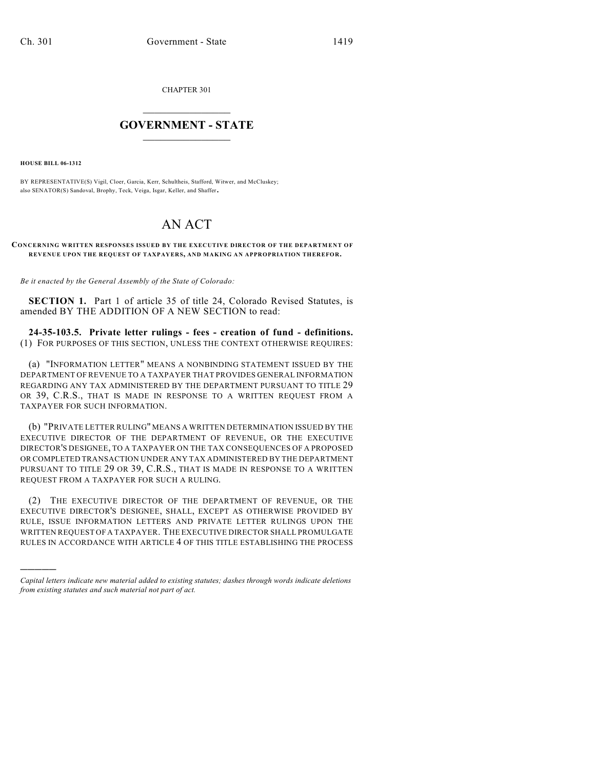CHAPTER 301

## $\overline{\phantom{a}}$  . The set of the set of the set of the set of the set of the set of the set of the set of the set of the set of the set of the set of the set of the set of the set of the set of the set of the set of the set o **GOVERNMENT - STATE**  $\_$

**HOUSE BILL 06-1312**

)))))

BY REPRESENTATIVE(S) Vigil, Cloer, Garcia, Kerr, Schultheis, Stafford, Witwer, and McCluskey; also SENATOR(S) Sandoval, Brophy, Teck, Veiga, Isgar, Keller, and Shaffer.

## AN ACT

## **CONCERNING WRITTEN RESPONSES ISSUED BY THE EXECUTIVE DIRECTOR OF THE DEPARTMENT OF REVENUE UPON THE REQUEST OF TAXPAYERS, AND MAKING AN APPROPRIATION THEREFOR.**

*Be it enacted by the General Assembly of the State of Colorado:*

**SECTION 1.** Part 1 of article 35 of title 24, Colorado Revised Statutes, is amended BY THE ADDITION OF A NEW SECTION to read:

**24-35-103.5. Private letter rulings - fees - creation of fund - definitions.** (1) FOR PURPOSES OF THIS SECTION, UNLESS THE CONTEXT OTHERWISE REQUIRES:

(a) "INFORMATION LETTER" MEANS A NONBINDING STATEMENT ISSUED BY THE DEPARTMENT OF REVENUE TO A TAXPAYER THAT PROVIDES GENERAL INFORMATION REGARDING ANY TAX ADMINISTERED BY THE DEPARTMENT PURSUANT TO TITLE 29 OR 39, C.R.S., THAT IS MADE IN RESPONSE TO A WRITTEN REQUEST FROM A TAXPAYER FOR SUCH INFORMATION.

(b) "PRIVATE LETTER RULING" MEANS A WRITTEN DETERMINATION ISSUED BY THE EXECUTIVE DIRECTOR OF THE DEPARTMENT OF REVENUE, OR THE EXECUTIVE DIRECTOR'S DESIGNEE, TO A TAXPAYER ON THE TAX CONSEQUENCES OF A PROPOSED OR COMPLETED TRANSACTION UNDER ANY TAX ADMINISTERED BY THE DEPARTMENT PURSUANT TO TITLE 29 OR 39, C.R.S., THAT IS MADE IN RESPONSE TO A WRITTEN REQUEST FROM A TAXPAYER FOR SUCH A RULING.

(2) THE EXECUTIVE DIRECTOR OF THE DEPARTMENT OF REVENUE, OR THE EXECUTIVE DIRECTOR'S DESIGNEE, SHALL, EXCEPT AS OTHERWISE PROVIDED BY RULE, ISSUE INFORMATION LETTERS AND PRIVATE LETTER RULINGS UPON THE WRITTEN REQUEST OF A TAXPAYER. THE EXECUTIVE DIRECTOR SHALL PROMULGATE RULES IN ACCORDANCE WITH ARTICLE 4 OF THIS TITLE ESTABLISHING THE PROCESS

*Capital letters indicate new material added to existing statutes; dashes through words indicate deletions from existing statutes and such material not part of act.*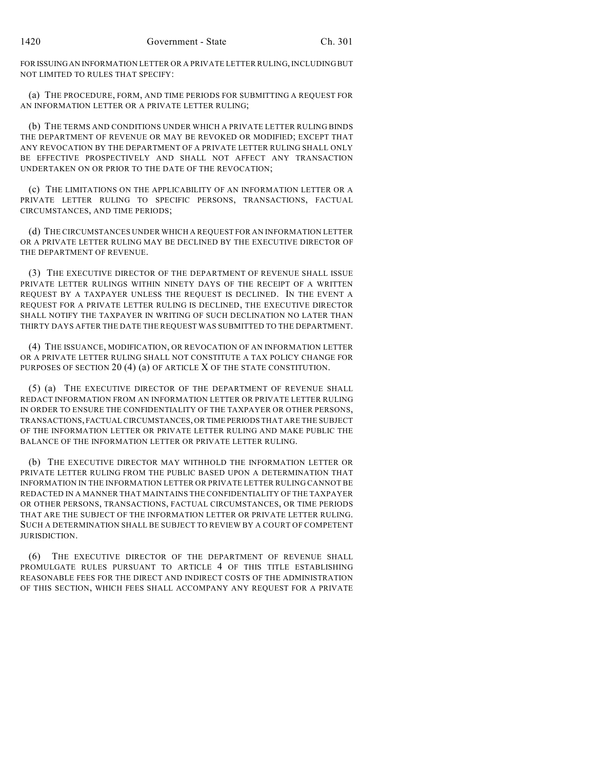FOR ISSUING AN INFORMATION LETTER OR A PRIVATE LETTER RULING, INCLUDING BUT NOT LIMITED TO RULES THAT SPECIFY:

(a) THE PROCEDURE, FORM, AND TIME PERIODS FOR SUBMITTING A REQUEST FOR AN INFORMATION LETTER OR A PRIVATE LETTER RULING;

(b) THE TERMS AND CONDITIONS UNDER WHICH A PRIVATE LETTER RULING BINDS THE DEPARTMENT OF REVENUE OR MAY BE REVOKED OR MODIFIED; EXCEPT THAT ANY REVOCATION BY THE DEPARTMENT OF A PRIVATE LETTER RULING SHALL ONLY BE EFFECTIVE PROSPECTIVELY AND SHALL NOT AFFECT ANY TRANSACTION UNDERTAKEN ON OR PRIOR TO THE DATE OF THE REVOCATION;

(c) THE LIMITATIONS ON THE APPLICABILITY OF AN INFORMATION LETTER OR A PRIVATE LETTER RULING TO SPECIFIC PERSONS, TRANSACTIONS, FACTUAL CIRCUMSTANCES, AND TIME PERIODS;

(d) THE CIRCUMSTANCES UNDER WHICH A REQUEST FOR AN INFORMATION LETTER OR A PRIVATE LETTER RULING MAY BE DECLINED BY THE EXECUTIVE DIRECTOR OF THE DEPARTMENT OF REVENUE.

(3) THE EXECUTIVE DIRECTOR OF THE DEPARTMENT OF REVENUE SHALL ISSUE PRIVATE LETTER RULINGS WITHIN NINETY DAYS OF THE RECEIPT OF A WRITTEN REQUEST BY A TAXPAYER UNLESS THE REQUEST IS DECLINED. IN THE EVENT A REQUEST FOR A PRIVATE LETTER RULING IS DECLINED, THE EXECUTIVE DIRECTOR SHALL NOTIFY THE TAXPAYER IN WRITING OF SUCH DECLINATION NO LATER THAN THIRTY DAYS AFTER THE DATE THE REQUEST WAS SUBMITTED TO THE DEPARTMENT.

(4) THE ISSUANCE, MODIFICATION, OR REVOCATION OF AN INFORMATION LETTER OR A PRIVATE LETTER RULING SHALL NOT CONSTITUTE A TAX POLICY CHANGE FOR PURPOSES OF SECTION 20 (4) (a) OF ARTICLE X OF THE STATE CONSTITUTION.

(5) (a) THE EXECUTIVE DIRECTOR OF THE DEPARTMENT OF REVENUE SHALL REDACT INFORMATION FROM AN INFORMATION LETTER OR PRIVATE LETTER RULING IN ORDER TO ENSURE THE CONFIDENTIALITY OF THE TAXPAYER OR OTHER PERSONS, TRANSACTIONS, FACTUAL CIRCUMSTANCES, OR TIME PERIODS THAT ARE THE SUBJECT OF THE INFORMATION LETTER OR PRIVATE LETTER RULING AND MAKE PUBLIC THE BALANCE OF THE INFORMATION LETTER OR PRIVATE LETTER RULING.

(b) THE EXECUTIVE DIRECTOR MAY WITHHOLD THE INFORMATION LETTER OR PRIVATE LETTER RULING FROM THE PUBLIC BASED UPON A DETERMINATION THAT INFORMATION IN THE INFORMATION LETTER OR PRIVATE LETTER RULING CANNOT BE REDACTED IN A MANNER THAT MAINTAINS THE CONFIDENTIALITY OF THE TAXPAYER OR OTHER PERSONS, TRANSACTIONS, FACTUAL CIRCUMSTANCES, OR TIME PERIODS THAT ARE THE SUBJECT OF THE INFORMATION LETTER OR PRIVATE LETTER RULING. SUCH A DETERMINATION SHALL BE SUBJECT TO REVIEW BY A COURT OF COMPETENT JURISDICTION.

(6) THE EXECUTIVE DIRECTOR OF THE DEPARTMENT OF REVENUE SHALL PROMULGATE RULES PURSUANT TO ARTICLE 4 OF THIS TITLE ESTABLISHING REASONABLE FEES FOR THE DIRECT AND INDIRECT COSTS OF THE ADMINISTRATION OF THIS SECTION, WHICH FEES SHALL ACCOMPANY ANY REQUEST FOR A PRIVATE